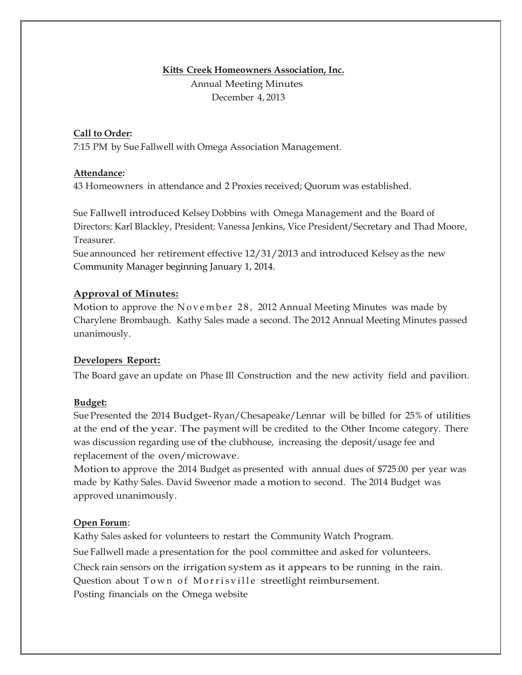# **Kitts Creek Homeowners Association, Inc.** Annual Meeting Minutes December 4, 2013

#### **Call to Order:**

7:15 PM by Sue Fallwell with Omega Association Management.

#### **Attendance:**

43 Homeowners in attendance and 2 Proxies received; Quorum was established.

Sue Fallwell introduced Kelsey Dobbins with Omega Management and the Board of Directors: Karl Blackley, President; Vanessa Jenkins, Vice President/Secretary and Thad Moore, Treasurer.

Sue announced her retirement effective 12/31/2013 and introduced Kelsey as the new Community Manager beginning January 1, 2014.

## **Approval of Minutes:**

Motion to approve the November 28, 2012 Annual Meeting Minutes was made by Charylene Brombaugh. Kathy Sales made a second. The 2012 Annual Meeting Minutes passed unanimously.

## **Developers Report:**

The Board gave an update on Phase Ill Construction and the new activity field and pavilion.

## **Budget:**

Sue Presented the 2014 Budget-Ryan/Chesapeake/Lennar will be billed for 25% of utilities at the end of the year. The payment will be credited to the Other Income category. There was discussion regarding use of the clubhouse, increasing the deposit/usage fee and replacement of the oven/microwave.

Motion to approve the 2014 Budget as presented with annual dues of \$725.00 per year was made by Kathy Sales. David Sweenor made a motion to second. The 2014 Budget was approved unanimously.

#### **Open Forum**:

Kathy Sales asked for volunteers to restart the Community Watch Program. Sue Fallwell made a presentation for the pool committee and asked for volunteers. Check rain sensors on the irrigation system as it appears to be running in the rain. Question about Town of Morrisville streetlight reimbursement. Posting financials on the Omega website